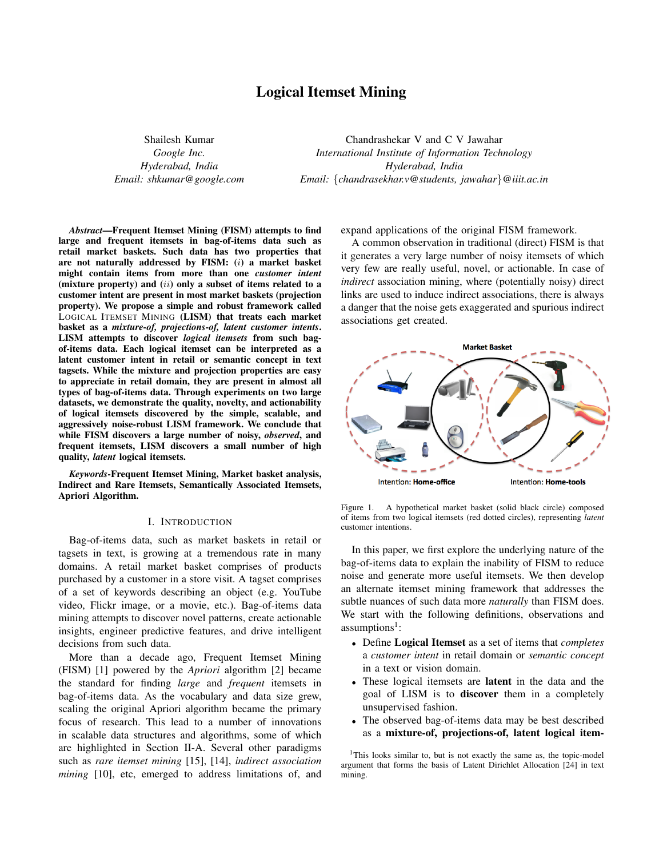# Logical Itemset Mining

Shailesh Kumar *Google Inc. Hyderabad, India Email: shkumar@google.com*

Chandrashekar V and C V Jawahar *International Institute of Information Technology Hyderabad, India Email:* {*chandrasekhar.v@students, jawahar*}*@iiit.ac.in*

*Abstract*—Frequent Itemset Mining (FISM) attempts to find large and frequent itemsets in bag-of-items data such as retail market baskets. Such data has two properties that are not naturally addressed by FISM: (i) a market basket might contain items from more than one *customer intent* (mixture property) and (ii) only a subset of items related to a customer intent are present in most market baskets (projection property). We propose a simple and robust framework called LOGICAL ITEMSET MINING (LISM) that treats each market basket as a *mixture-of, projections-of, latent customer intents*. LISM attempts to discover *logical itemsets* from such bagof-items data. Each logical itemset can be interpreted as a latent customer intent in retail or semantic concept in text tagsets. While the mixture and projection properties are easy to appreciate in retail domain, they are present in almost all types of bag-of-items data. Through experiments on two large datasets, we demonstrate the quality, novelty, and actionability of logical itemsets discovered by the simple, scalable, and aggressively noise-robust LISM framework. We conclude that while FISM discovers a large number of noisy, *observed*, and frequent itemsets, LISM discovers a small number of high quality, *latent* logical itemsets.

*Keywords*-Frequent Itemset Mining, Market basket analysis, Indirect and Rare Itemsets, Semantically Associated Itemsets, Apriori Algorithm.

### I. INTRODUCTION

Bag-of-items data, such as market baskets in retail or tagsets in text, is growing at a tremendous rate in many domains. A retail market basket comprises of products purchased by a customer in a store visit. A tagset comprises of a set of keywords describing an object (e.g. YouTube video, Flickr image, or a movie, etc.). Bag-of-items data mining attempts to discover novel patterns, create actionable insights, engineer predictive features, and drive intelligent decisions from such data.

More than a decade ago, Frequent Itemset Mining (FISM) [1] powered by the *Apriori* algorithm [2] became the standard for finding *large* and *frequent* itemsets in bag-of-items data. As the vocabulary and data size grew, scaling the original Apriori algorithm became the primary focus of research. This lead to a number of innovations in scalable data structures and algorithms, some of which are highlighted in Section II-A. Several other paradigms such as *rare itemset mining* [15], [14], *indirect association mining* [10], etc, emerged to address limitations of, and expand applications of the original FISM framework.

A common observation in traditional (direct) FISM is that it generates a very large number of noisy itemsets of which very few are really useful, novel, or actionable. In case of *indirect* association mining, where (potentially noisy) direct links are used to induce indirect associations, there is always a danger that the noise gets exaggerated and spurious indirect associations get created.



Figure 1. A hypothetical market basket (solid black circle) composed of items from two logical itemsets (red dotted circles), representing *latent* customer intentions.

In this paper, we first explore the underlying nature of the bag-of-items data to explain the inability of FISM to reduce noise and generate more useful itemsets. We then develop an alternate itemset mining framework that addresses the subtle nuances of such data more *naturally* than FISM does. We start with the following definitions, observations and assumptions<sup>1</sup>:

- Define Logical Itemset as a set of items that *completes* a *customer intent* in retail domain or *semantic concept* in a text or vision domain.
- These logical itemsets are latent in the data and the goal of LISM is to discover them in a completely unsupervised fashion.
- The observed bag-of-items data may be best described as a mixture-of, projections-of, latent logical item-

<sup>&</sup>lt;sup>1</sup>This looks similar to, but is not exactly the same as, the topic-model argument that forms the basis of Latent Dirichlet Allocation [24] in text mining.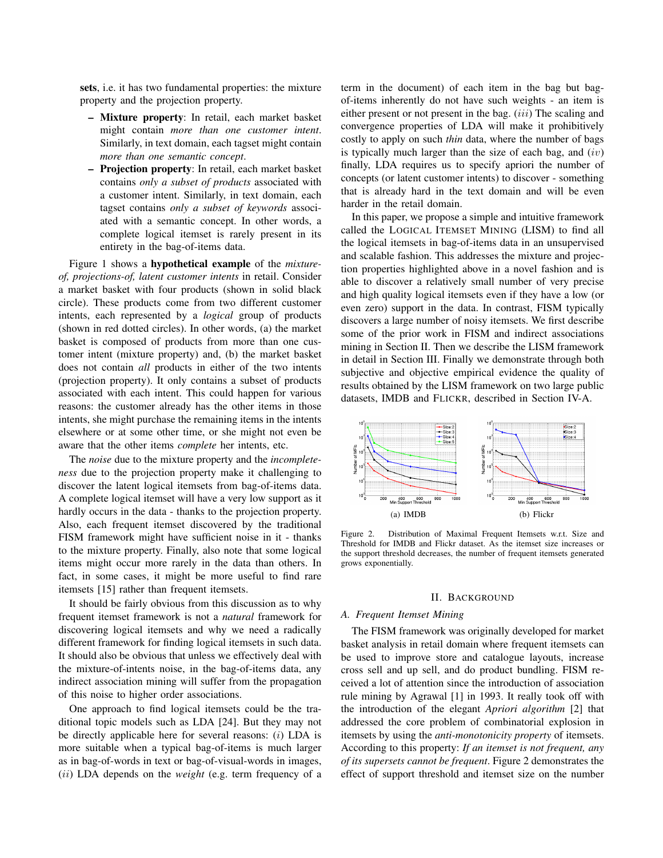sets, i.e. it has two fundamental properties: the mixture property and the projection property.

- Mixture property: In retail, each market basket might contain *more than one customer intent*. Similarly, in text domain, each tagset might contain *more than one semantic concept*.
- Projection property: In retail, each market basket contains *only a subset of products* associated with a customer intent. Similarly, in text domain, each tagset contains *only a subset of keywords* associated with a semantic concept. In other words, a complete logical itemset is rarely present in its entirety in the bag-of-items data.

Figure 1 shows a hypothetical example of the *mixtureof, projections-of, latent customer intents* in retail. Consider a market basket with four products (shown in solid black circle). These products come from two different customer intents, each represented by a *logical* group of products (shown in red dotted circles). In other words, (a) the market basket is composed of products from more than one customer intent (mixture property) and, (b) the market basket does not contain *all* products in either of the two intents (projection property). It only contains a subset of products associated with each intent. This could happen for various reasons: the customer already has the other items in those intents, she might purchase the remaining items in the intents elsewhere or at some other time, or she might not even be aware that the other items *complete* her intents, etc.

The *noise* due to the mixture property and the *incompleteness* due to the projection property make it challenging to discover the latent logical itemsets from bag-of-items data. A complete logical itemset will have a very low support as it hardly occurs in the data - thanks to the projection property. Also, each frequent itemset discovered by the traditional FISM framework might have sufficient noise in it - thanks to the mixture property. Finally, also note that some logical items might occur more rarely in the data than others. In fact, in some cases, it might be more useful to find rare itemsets [15] rather than frequent itemsets.

It should be fairly obvious from this discussion as to why frequent itemset framework is not a *natural* framework for discovering logical itemsets and why we need a radically different framework for finding logical itemsets in such data. It should also be obvious that unless we effectively deal with the mixture-of-intents noise, in the bag-of-items data, any indirect association mining will suffer from the propagation of this noise to higher order associations.

One approach to find logical itemsets could be the traditional topic models such as LDA [24]. But they may not be directly applicable here for several reasons:  $(i)$  LDA is more suitable when a typical bag-of-items is much larger as in bag-of-words in text or bag-of-visual-words in images, (ii) LDA depends on the *weight* (e.g. term frequency of a term in the document) of each item in the bag but bagof-items inherently do not have such weights - an item is either present or not present in the bag. (iii) The scaling and convergence properties of LDA will make it prohibitively costly to apply on such *thin* data, where the number of bags is typically much larger than the size of each bag, and  $(iv)$ finally, LDA requires us to specify apriori the number of concepts (or latent customer intents) to discover - something that is already hard in the text domain and will be even harder in the retail domain.

In this paper, we propose a simple and intuitive framework called the LOGICAL ITEMSET MINING (LISM) to find all the logical itemsets in bag-of-items data in an unsupervised and scalable fashion. This addresses the mixture and projection properties highlighted above in a novel fashion and is able to discover a relatively small number of very precise and high quality logical itemsets even if they have a low (or even zero) support in the data. In contrast, FISM typically discovers a large number of noisy itemsets. We first describe some of the prior work in FISM and indirect associations mining in Section II. Then we describe the LISM framework in detail in Section III. Finally we demonstrate through both subjective and objective empirical evidence the quality of results obtained by the LISM framework on two large public datasets, IMDB and FLICKR, described in Section IV-A.



Figure 2. Distribution of Maximal Frequent Itemsets w.r.t. Size and Threshold for IMDB and Flickr dataset. As the itemset size increases or the support threshold decreases, the number of frequent itemsets generated grows exponentially.

#### II. BACKGROUND

### *A. Frequent Itemset Mining*

The FISM framework was originally developed for market basket analysis in retail domain where frequent itemsets can be used to improve store and catalogue layouts, increase cross sell and up sell, and do product bundling. FISM received a lot of attention since the introduction of association rule mining by Agrawal [1] in 1993. It really took off with the introduction of the elegant *Apriori algorithm* [2] that addressed the core problem of combinatorial explosion in itemsets by using the *anti-monotonicity property* of itemsets. According to this property: *If an itemset is not frequent, any of its supersets cannot be frequent*. Figure 2 demonstrates the effect of support threshold and itemset size on the number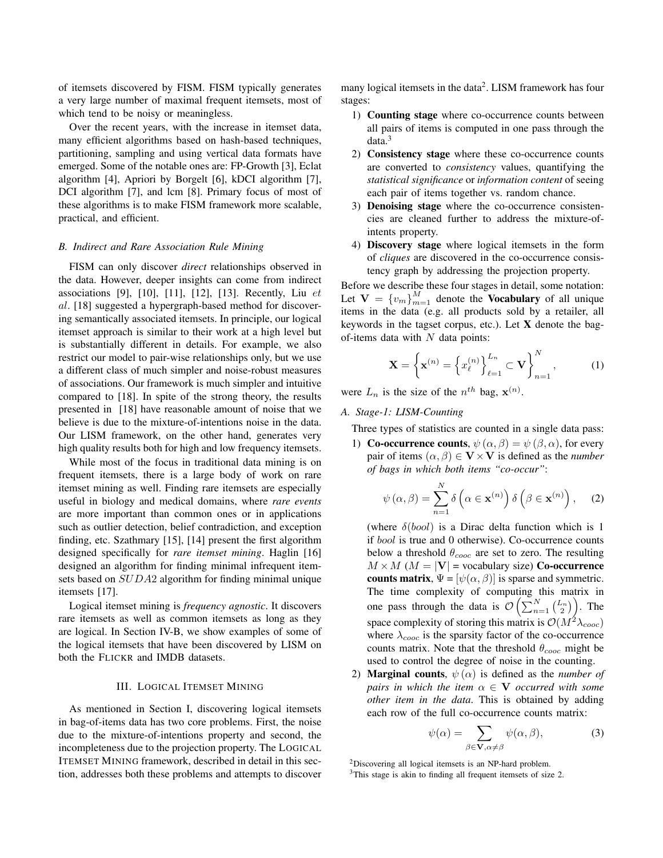of itemsets discovered by FISM. FISM typically generates a very large number of maximal frequent itemsets, most of which tend to be noisy or meaningless.

Over the recent years, with the increase in itemset data, many efficient algorithms based on hash-based techniques, partitioning, sampling and using vertical data formats have emerged. Some of the notable ones are: FP-Growth [3], Eclat algorithm [4], Apriori by Borgelt [6], kDCI algorithm [7], DCI algorithm [7], and lcm [8]. Primary focus of most of these algorithms is to make FISM framework more scalable, practical, and efficient.

#### *B. Indirect and Rare Association Rule Mining*

FISM can only discover *direct* relationships observed in the data. However, deeper insights can come from indirect associations [9], [10], [11], [12], [13]. Recently, Liu  $et$ al. [18] suggested a hypergraph-based method for discovering semantically associated itemsets. In principle, our logical itemset approach is similar to their work at a high level but is substantially different in details. For example, we also restrict our model to pair-wise relationships only, but we use a different class of much simpler and noise-robust measures of associations. Our framework is much simpler and intuitive compared to [18]. In spite of the strong theory, the results presented in [18] have reasonable amount of noise that we believe is due to the mixture-of-intentions noise in the data. Our LISM framework, on the other hand, generates very high quality results both for high and low frequency itemsets.

While most of the focus in traditional data mining is on frequent itemsets, there is a large body of work on rare itemset mining as well. Finding rare itemsets are especially useful in biology and medical domains, where *rare events* are more important than common ones or in applications such as outlier detection, belief contradiction, and exception finding, etc. Szathmary [15], [14] present the first algorithm designed specifically for *rare itemset mining*. Haglin [16] designed an algorithm for finding minimal infrequent itemsets based on SUDA2 algorithm for finding minimal unique itemsets [17].

Logical itemset mining is *frequency agnostic*. It discovers rare itemsets as well as common itemsets as long as they are logical. In Section IV-B, we show examples of some of the logical itemsets that have been discovered by LISM on both the FLICKR and IMDB datasets.

## III. LOGICAL ITEMSET MINING

As mentioned in Section I, discovering logical itemsets in bag-of-items data has two core problems. First, the noise due to the mixture-of-intentions property and second, the incompleteness due to the projection property. The LOGICAL ITEMSET MINING framework, described in detail in this section, addresses both these problems and attempts to discover

many logical itemsets in the data<sup>2</sup>. LISM framework has four stages:

- 1) Counting stage where co-occurrence counts between all pairs of items is computed in one pass through the data.<sup>3</sup>
- 2) Consistency stage where these co-occurrence counts are converted to *consistency* values, quantifying the *statistical significance* or *information content* of seeing each pair of items together vs. random chance.
- 3) Denoising stage where the co-occurrence consistencies are cleaned further to address the mixture-ofintents property.
- 4) Discovery stage where logical itemsets in the form of *cliques* are discovered in the co-occurrence consistency graph by addressing the projection property.

Before we describe these four stages in detail, some notation: Let  $V = \{v_m\}_{m=1}^M$  denote the **Vocabulary** of all unique items in the data (e.g. all products sold by a retailer, all keywords in the tagset corpus, etc.). Let  $X$  denote the bagof-items data with  $N$  data points:

$$
\mathbf{X} = \left\{ \mathbf{x}^{(n)} = \left\{ x_{\ell}^{(n)} \right\}_{\ell=1}^{L_n} \subset \mathbf{V} \right\}_{n=1}^{N},\tag{1}
$$

were  $L_n$  is the size of the  $n^{th}$  bag,  $\mathbf{x}^{(n)}$ .

#### *A. Stage-1: LISM-Counting*

Three types of statistics are counted in a single data pass:

1) Co-occurrence counts,  $\psi(\alpha, \beta) = \psi(\beta, \alpha)$ , for every pair of items  $(\alpha, \beta) \in V \times V$  is defined as the *number of bags in which both items "co-occur"*:

$$
\psi(\alpha, \beta) = \sum_{n=1}^{N} \delta\left(\alpha \in \mathbf{x}^{(n)}\right) \delta\left(\beta \in \mathbf{x}^{(n)}\right), \quad (2)
$$

(where  $\delta(bool)$  is a Dirac delta function which is 1 if bool is true and 0 otherwise). Co-occurrence counts below a threshold  $\theta_{cooc}$  are set to zero. The resulting  $M \times M$  ( $M = |V|$  = vocabulary size) Co-occurrence counts matrix,  $\Psi = [\psi(\alpha, \beta)]$  is sparse and symmetric. The time complexity of computing this matrix in one pass through the data is  $\mathcal{O}\left(\sum_{n=1}^N {\binom{L_n}{2}}\right)$ . The space complexity of storing this matrix is  $\mathcal{O}(M^2 \lambda_{cooc})$ where  $\lambda_{cooc}$  is the sparsity factor of the co-occurrence counts matrix. Note that the threshold  $\theta_{cooc}$  might be used to control the degree of noise in the counting.

2) **Marginal counts**,  $\psi(\alpha)$  is defined as the *number of pairs in which the item*  $\alpha \in V$  *occurred with some other item in the data*. This is obtained by adding each row of the full co-occurrence counts matrix:

$$
\psi(\alpha) = \sum_{\beta \in \mathbf{V}, \alpha \neq \beta} \psi(\alpha, \beta),\tag{3}
$$

<sup>2</sup>Discovering all logical itemsets is an NP-hard problem.

<sup>&</sup>lt;sup>3</sup>This stage is akin to finding all frequent itemsets of size 2.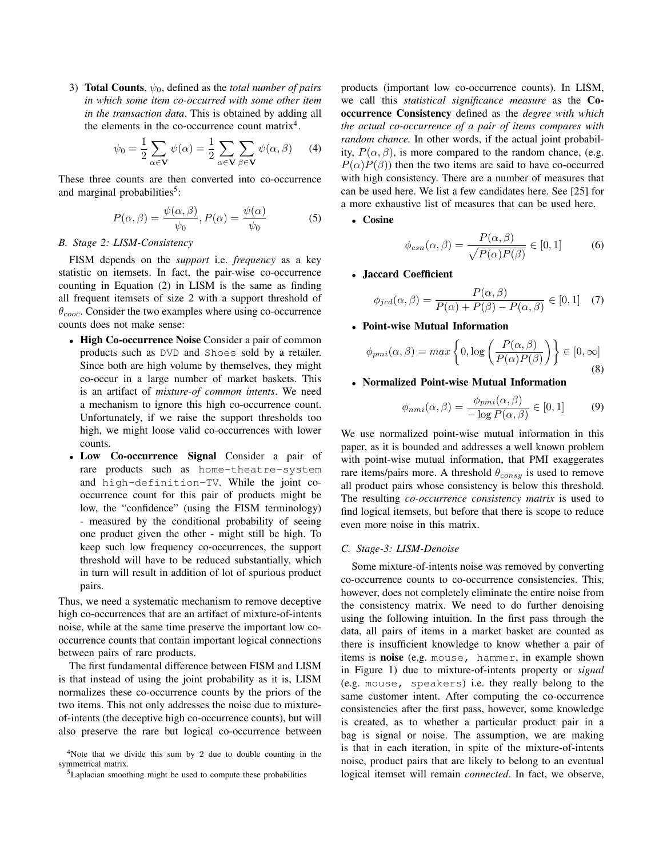3) **Total Counts**,  $\psi_0$ , defined as the *total number of pairs in which some item co-occurred with some other item in the transaction data*. This is obtained by adding all the elements in the co-occurrence count matrix<sup>4</sup>.

$$
\psi_0 = \frac{1}{2} \sum_{\alpha \in \mathbf{V}} \psi(\alpha) = \frac{1}{2} \sum_{\alpha \in \mathbf{V}} \sum_{\beta \in \mathbf{V}} \psi(\alpha, \beta) \tag{4}
$$

These three counts are then converted into co-occurrence and marginal probabilities<sup>5</sup>:

$$
P(\alpha, \beta) = \frac{\psi(\alpha, \beta)}{\psi_0}, P(\alpha) = \frac{\psi(\alpha)}{\psi_0}
$$
 (5)

## *B. Stage 2: LISM-Consistency*

FISM depends on the *support* i.e. *frequency* as a key statistic on itemsets. In fact, the pair-wise co-occurrence counting in Equation (2) in LISM is the same as finding all frequent itemsets of size 2 with a support threshold of  $\theta_{cooc}$ . Consider the two examples where using co-occurrence counts does not make sense:

- High Co-occurrence Noise Consider a pair of common products such as DVD and Shoes sold by a retailer. Since both are high volume by themselves, they might co-occur in a large number of market baskets. This is an artifact of *mixture-of common intents*. We need a mechanism to ignore this high co-occurrence count. Unfortunately, if we raise the support thresholds too high, we might loose valid co-occurrences with lower counts.
- Low Co-occurrence Signal Consider a pair of rare products such as home-theatre-system and high-definition-TV. While the joint cooccurrence count for this pair of products might be low, the "confidence" (using the FISM terminology) - measured by the conditional probability of seeing one product given the other - might still be high. To keep such low frequency co-occurrences, the support threshold will have to be reduced substantially, which in turn will result in addition of lot of spurious product pairs.

Thus, we need a systematic mechanism to remove deceptive high co-occurrences that are an artifact of mixture-of-intents noise, while at the same time preserve the important low cooccurrence counts that contain important logical connections between pairs of rare products.

The first fundamental difference between FISM and LISM is that instead of using the joint probability as it is, LISM normalizes these co-occurrence counts by the priors of the two items. This not only addresses the noise due to mixtureof-intents (the deceptive high co-occurrence counts), but will also preserve the rare but logical co-occurrence between products (important low co-occurrence counts). In LISM, we call this *statistical significance measure* as the Cooccurrence Consistency defined as the *degree with which the actual co-occurrence of a pair of items compares with random chance.* In other words, if the actual joint probability,  $P(\alpha, \beta)$ , is more compared to the random chance, (e.g.  $P(\alpha)P(\beta)$  then the two items are said to have co-occurred with high consistency. There are a number of measures that can be used here. We list a few candidates here. See [25] for a more exhaustive list of measures that can be used here.

## • Cosine

$$
\phi_{csn}(\alpha, \beta) = \frac{P(\alpha, \beta)}{\sqrt{P(\alpha)P(\beta)}} \in [0, 1]
$$
 (6)

## • Jaccard Coefficient

$$
\phi_{jcd}(\alpha,\beta) = \frac{P(\alpha,\beta)}{P(\alpha) + P(\beta) - P(\alpha,\beta)} \in [0,1] \quad (7)
$$

#### • Point-wise Mutual Information

$$
\phi_{pmi}(\alpha,\beta) = max\left\{0, \log\left(\frac{P(\alpha,\beta)}{P(\alpha)P(\beta)}\right)\right\} \in [0,\infty]
$$
\n(8)

## • Normalized Point-wise Mutual Information

$$
\phi_{nmi}(\alpha,\beta) = \frac{\phi_{pmi}(\alpha,\beta)}{-\log P(\alpha,\beta)} \in [0,1] \tag{9}
$$

We use normalized point-wise mutual information in this paper, as it is bounded and addresses a well known problem with point-wise mutual information, that PMI exaggerates rare items/pairs more. A threshold  $\theta_{consy}$  is used to remove all product pairs whose consistency is below this threshold. The resulting *co-occurrence consistency matrix* is used to find logical itemsets, but before that there is scope to reduce even more noise in this matrix.

#### *C. Stage-3: LISM-Denoise*

Some mixture-of-intents noise was removed by converting co-occurrence counts to co-occurrence consistencies. This, however, does not completely eliminate the entire noise from the consistency matrix. We need to do further denoising using the following intuition. In the first pass through the data, all pairs of items in a market basket are counted as there is insufficient knowledge to know whether a pair of items is noise (e.g. mouse, hammer, in example shown in Figure 1) due to mixture-of-intents property or *signal* (e.g. mouse, speakers) i.e. they really belong to the same customer intent. After computing the co-occurrence consistencies after the first pass, however, some knowledge is created, as to whether a particular product pair in a bag is signal or noise. The assumption, we are making is that in each iteration, in spite of the mixture-of-intents noise, product pairs that are likely to belong to an eventual logical itemset will remain *connected*. In fact, we observe,

<sup>4</sup>Note that we divide this sum by 2 due to double counting in the symmetrical matrix.

<sup>5</sup>Laplacian smoothing might be used to compute these probabilities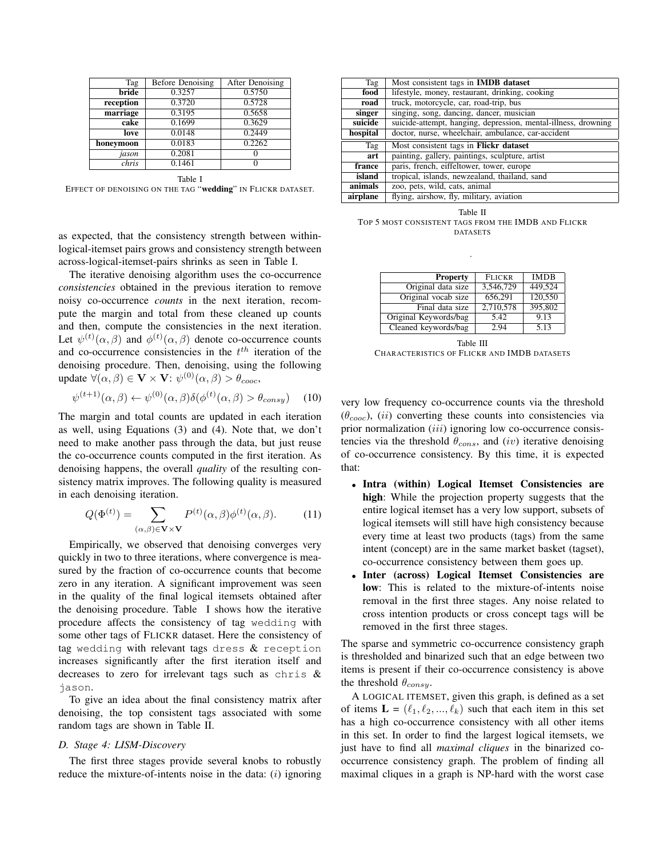| Tag       | <b>Before Denoising</b> | After Denoising |
|-----------|-------------------------|-----------------|
| bride     | 0.3257                  | 0.5750          |
| reception | 0.3720                  | 0.5728          |
| marriage  | 0.3195                  | 0.5658          |
| cake      | 0.1699                  | 0.3629          |
| love      | 0.0148                  | 0.2449          |
| honeymoon | 0.0183                  | 0.2262          |
| jason     | 0.2081                  |                 |
| chris     | 0.1461                  |                 |
|           | Table I                 |                 |

EFFECT OF DENOISING ON THE TAG "wedding" IN FLICKR DATASET.

as expected, that the consistency strength between withinlogical-itemset pairs grows and consistency strength between across-logical-itemset-pairs shrinks as seen in Table I.

The iterative denoising algorithm uses the co-occurrence *consistencies* obtained in the previous iteration to remove noisy co-occurrence *counts* in the next iteration, recompute the margin and total from these cleaned up counts and then, compute the consistencies in the next iteration. Let  $\psi^{(t)}(\alpha, \beta)$  and  $\phi^{(t)}(\alpha, \beta)$  denote co-occurrence counts and co-occurrence consistencies in the  $t^{th}$  iteration of the denoising procedure. Then, denoising, using the following update  $\forall (\alpha, \beta) \in \mathbf{V} \times \mathbf{V}$ :  $\psi^{(0)}(\alpha, \beta) > \theta_{cooc}$ ,

$$
\psi^{(t+1)}(\alpha,\beta) \leftarrow \psi^{(0)}(\alpha,\beta)\delta(\phi^{(t)}(\alpha,\beta) > \theta_{consy}) \quad (10)
$$

The margin and total counts are updated in each iteration as well, using Equations (3) and (4). Note that, we don't need to make another pass through the data, but just reuse the co-occurrence counts computed in the first iteration. As denoising happens, the overall *quality* of the resulting consistency matrix improves. The following quality is measured in each denoising iteration.

$$
Q(\Phi^{(t)}) = \sum_{(\alpha,\beta)\in \mathbf{V}\times\mathbf{V}} P^{(t)}(\alpha,\beta)\phi^{(t)}(\alpha,\beta). \tag{11}
$$

Empirically, we observed that denoising converges very quickly in two to three iterations, where convergence is measured by the fraction of co-occurrence counts that become zero in any iteration. A significant improvement was seen in the quality of the final logical itemsets obtained after the denoising procedure. Table I shows how the iterative procedure affects the consistency of tag wedding with some other tags of FLICKR dataset. Here the consistency of tag wedding with relevant tags dress & reception increases significantly after the first iteration itself and decreases to zero for irrelevant tags such as chris & jason.

To give an idea about the final consistency matrix after denoising, the top consistent tags associated with some random tags are shown in Table II.

#### *D. Stage 4: LISM-Discovery*

The first three stages provide several knobs to robustly reduce the mixture-of-intents noise in the data:  $(i)$  ignoring

| Tag      | Most consistent tags in <b>IMDB</b> dataset                    |
|----------|----------------------------------------------------------------|
| food     | lifestyle, money, restaurant, drinking, cooking                |
| road     | truck, motorcycle, car, road-trip, bus                         |
| singer   | singing, song, dancing, dancer, musician                       |
| suicide  | suicide-attempt, hanging, depression, mental-illness, drowning |
| hospital | doctor, nurse, wheelchair, ambulance, car-accident             |
|          |                                                                |
| Tag      | Most consistent tags in Flickr dataset                         |
| art      | painting, gallery, paintings, sculpture, artist                |
| france   | paris, french, eiffeltower, tower, europe                      |
| island   | tropical, islands, newzealand, thailand, sand                  |
| animals  | zoo, pets, wild, cats, animal                                  |

Table II TOP 5 MOST CONSISTENT TAGS FROM THE IMDB AND FLICKR DATASETS

.

| <b>Property</b>       | <b>FLICKR</b> | <b>IMDB</b> |
|-----------------------|---------------|-------------|
| Original data size    | 3,546,729     | 449,524     |
| Original vocab size   | 656.291       | 120,550     |
| Final data size       | 2.710.578     | 395,802     |
| Original Keywords/bag | 5.42          | 9.13        |
| Cleaned keywords/bag  | 2.94          | 5.13        |

Table III CHARACTERISTICS OF FLICKR AND IMDB DATASETS

very low frequency co-occurrence counts via the threshold  $(\theta_{cooc})$ ,  $(ii)$  converting these counts into consistencies via prior normalization (iii) ignoring low co-occurrence consistencies via the threshold  $\theta_{cons}$ , and  $(iv)$  iterative denoising of co-occurrence consistency. By this time, it is expected that:

- Intra (within) Logical Itemset Consistencies are high: While the projection property suggests that the entire logical itemset has a very low support, subsets of logical itemsets will still have high consistency because every time at least two products (tags) from the same intent (concept) are in the same market basket (tagset), co-occurrence consistency between them goes up.
- Inter (across) Logical Itemset Consistencies are low: This is related to the mixture-of-intents noise removal in the first three stages. Any noise related to cross intention products or cross concept tags will be removed in the first three stages.

The sparse and symmetric co-occurrence consistency graph is thresholded and binarized such that an edge between two items is present if their co-occurrence consistency is above the threshold  $\theta_{consu}$ .

A LOGICAL ITEMSET, given this graph, is defined as a set of items  $\mathbf{L} = (\ell_1, \ell_2, ..., \ell_k)$  such that each item in this set has a high co-occurrence consistency with all other items in this set. In order to find the largest logical itemsets, we just have to find all *maximal cliques* in the binarized cooccurrence consistency graph. The problem of finding all maximal cliques in a graph is NP-hard with the worst case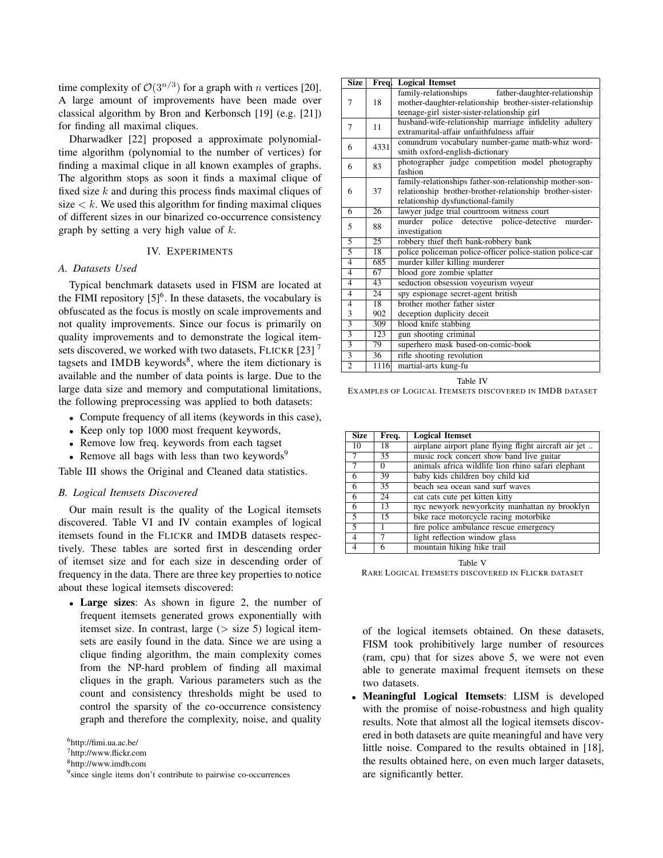time complexity of  $\mathcal{O}(3^{n/3})$  for a graph with n vertices [20]. A large amount of improvements have been made over classical algorithm by Bron and Kerbonsch [19] (e.g. [21]) for finding all maximal cliques.

Dharwadker [22] proposed a approximate polynomialtime algorithm (polynomial to the number of vertices) for finding a maximal clique in all known examples of graphs. The algorithm stops as soon it finds a maximal clique of fixed size  $k$  and during this process finds maximal cliques of size  $\lt k$ . We used this algorithm for finding maximal cliques of different sizes in our binarized co-occurrence consistency graph by setting a very high value of  $k$ .

## IV. EXPERIMENTS

## *A. Datasets Used*

Typical benchmark datasets used in FISM are located at the FIMI repository  $[5]$ <sup>6</sup>. In these datasets, the vocabulary is obfuscated as the focus is mostly on scale improvements and not quality improvements. Since our focus is primarily on quality improvements and to demonstrate the logical itemsets discovered, we worked with two datasets, FLICKR [23] <sup>7</sup> tagsets and IMDB keywords<sup>8</sup>, where the item dictionary is available and the number of data points is large. Due to the large data size and memory and computational limitations, the following preprocessing was applied to both datasets:

- Compute frequency of all items (keywords in this case),
- Keep only top 1000 most frequent keywords,
- Remove low freq. keywords from each tagset
- Remove all bags with less than two keywords<sup>9</sup>

Table III shows the Original and Cleaned data statistics.

#### *B. Logical Itemsets Discovered*

Our main result is the quality of the Logical itemsets discovered. Table VI and IV contain examples of logical itemsets found in the FLICKR and IMDB datasets respectively. These tables are sorted first in descending order of itemset size and for each size in descending order of frequency in the data. There are three key properties to notice about these logical itemsets discovered:

• Large sizes: As shown in figure 2, the number of frequent itemsets generated grows exponentially with itemset size. In contrast, large  $($  > size 5 $)$  logical itemsets are easily found in the data. Since we are using a clique finding algorithm, the main complexity comes from the NP-hard problem of finding all maximal cliques in the graph. Various parameters such as the count and consistency thresholds might be used to control the sparsity of the co-occurrence consistency graph and therefore the complexity, noise, and quality

| <b>Size</b>    | Freq.           | <b>Logical Itemset</b>                                    |
|----------------|-----------------|-----------------------------------------------------------|
| 7              |                 | family-relationships<br>father-daughter-relationship      |
|                | 18              | mother-daughter-relationship brother-sister-relationship  |
|                |                 | teenage-girl sister-sister-relationship girl              |
| 7              | 11              | husband-wife-relationship marriage infidelity adultery    |
|                |                 | extramarital-affair unfaithfulness affair                 |
| 6              | 4331            | conundrum vocabulary number-game math-whiz word-          |
|                |                 | smith oxford-english-dictionary                           |
| 6              | 83              | photographer judge competition model photography          |
|                |                 | fashion                                                   |
|                |                 | family-relationships father-son-relationship mother-son-  |
| 6              | 37              | relationship brother-brother-relationship brother-sister- |
|                |                 | relationship dysfunctional-family                         |
| 6              | 26              | lawyer judge trial courtroom witness court                |
| 5              | 88              | murder police detective<br>police-detective<br>murder-    |
|                |                 | investigation                                             |
| $\overline{5}$ | 25              | robbery thief theft bank-robbery bank                     |
| $\overline{5}$ | 18              | police policeman police-officer police-station police-car |
| $\overline{4}$ | 685             | murder killer killing murderer                            |
| $\overline{4}$ | 67              | blood gore zombie splatter                                |
| $\overline{4}$ | $\overline{43}$ | seduction obsession voyeurism voyeur                      |
| $\overline{4}$ | $\overline{24}$ | spy espionage secret-agent british                        |
| $\overline{4}$ | 18              | brother mother father sister                              |
| 3              | 902             | deception duplicity deceit                                |
| $\overline{3}$ | 309             | blood knife stabbing                                      |
| $\overline{3}$ | 123             | gun shooting criminal                                     |
| $\overline{3}$ | 79              | superhero mask based-on-comic-book                        |
| $\overline{3}$ | $\overline{36}$ | rifle shooting revolution                                 |
| $\overline{2}$ | 1116            | martial-arts kung-fu                                      |

Table IV EXAMPLES OF LOGICAL ITEMSETS DISCOVERED IN IMDB DATASET

| <b>Size</b>    | Freq.           | <b>Logical Itemset</b>                                |
|----------------|-----------------|-------------------------------------------------------|
| 10             | 18              | airplane airport plane flying flight aircraft air jet |
| 7              | 35              | music rock concert show band live guitar              |
| 7              | 0               | animals africa wildlife lion rhino safari elephant    |
| 6              | 39              | baby kids children boy child kid                      |
| 6              | $\overline{35}$ | beach sea ocean sand surf waves                       |
| 6              | 24              | cat cats cute pet kitten kitty                        |
| 6              | 13              | nyc newyork newyorkcity manhattan ny brooklyn         |
| $\overline{5}$ | 15              | bike race motorcycle racing motorbike                 |
| $\overline{5}$ |                 | fire police ambulance rescue emergency                |
| $\overline{4}$ |                 | light reflection window glass                         |
|                | 6               | mountain hiking hike trail                            |

Table V RARE LOGICAL ITEMSETS DISCOVERED IN FLICKR DATASET

of the logical itemsets obtained. On these datasets, FISM took prohibitively large number of resources (ram, cpu) that for sizes above 5, we were not even able to generate maximal frequent itemsets on these two datasets.

• Meaningful Logical Itemsets: LISM is developed with the promise of noise-robustness and high quality results. Note that almost all the logical itemsets discovered in both datasets are quite meaningful and have very little noise. Compared to the results obtained in [18], the results obtained here, on even much larger datasets, are significantly better.

<sup>6</sup>http://fimi.ua.ac.be/

<sup>7</sup>http://www.flickr.com

<sup>8</sup>http://www.imdb.com

<sup>&</sup>lt;sup>9</sup> since single items don't contribute to pairwise co-occurrences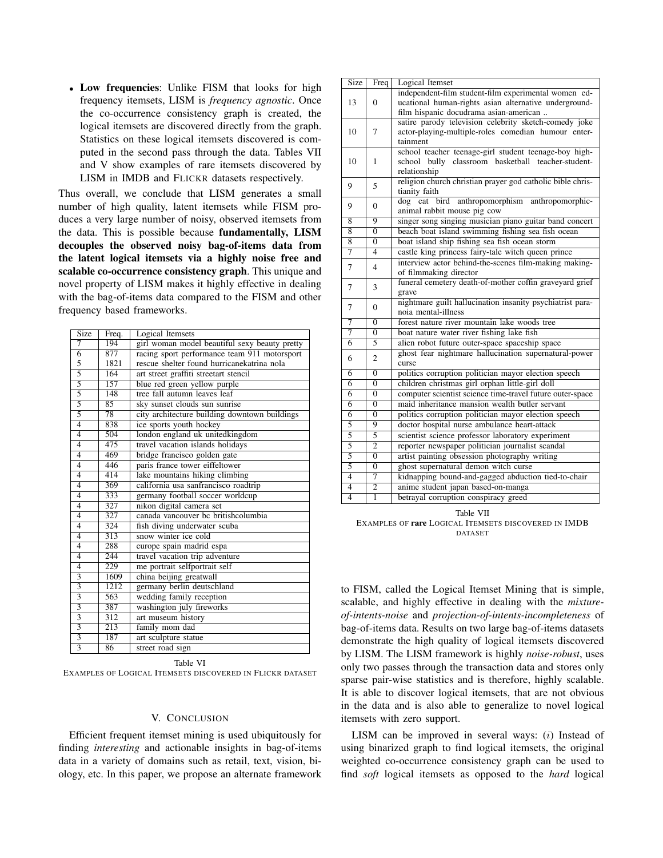• Low frequencies: Unlike FISM that looks for high frequency itemsets, LISM is *frequency agnostic*. Once the co-occurrence consistency graph is created, the logical itemsets are discovered directly from the graph. Statistics on these logical itemsets discovered is computed in the second pass through the data. Tables VII and V show examples of rare itemsets discovered by LISM in IMDB and FLICKR datasets respectively.

Thus overall, we conclude that LISM generates a small number of high quality, latent itemsets while FISM produces a very large number of noisy, observed itemsets from the data. This is possible because fundamentally, LISM decouples the observed noisy bag-of-items data from the latent logical itemsets via a highly noise free and scalable co-occurrence consistency graph. This unique and novel property of LISM makes it highly effective in dealing with the bag-of-items data compared to the FISM and other frequency based frameworks.

| <b>Size</b>               | Freq.            | Logical Itemsets                              |
|---------------------------|------------------|-----------------------------------------------|
| $\overline{\tau}$         | 194              | girl woman model beautiful sexy beauty pretty |
| $\overline{6}$            | 877              | racing sport performance team 911 motorsport  |
| 5                         | 1821             | rescue shelter found hurricanekatrina nola    |
| $\overline{5}$            | 164              | art street graffiti streetart stencil         |
| $\overline{5}$            | 157              | blue red green yellow purple                  |
| $\overline{5}$            | 148              | tree fall autumn leaves leaf                  |
| $\overline{5}$            | 85               | sky sunset clouds sun sunrise                 |
| $\overline{5}$            | 78               | city architecture building downtown buildings |
| $\overline{4}$            | 838              | ice sports youth hockey                       |
| $\overline{4}$            | 504              | london england uk unitedkingdom               |
| $\overline{4}$            | 475              | travel vacation islands holidays              |
| $\overline{4}$            | 469              | bridge francisco golden gate                  |
| $\overline{4}$            | 446              | paris france tower eiffeltower                |
| $\overline{4}$            | 414              | lake mountains hiking climbing                |
| $\overline{4}$            | 369              | california usa sanfrancisco roadtrip          |
| $\overline{4}$            | 333              | germany football soccer worldcup              |
| $\overline{4}$            | 327              | nikon digital camera set                      |
| $\overline{4}$            | 327              | canada vancouver bc britishcolumbia           |
| $\overline{4}$            | 324              | fish diving underwater scuba                  |
| $\overline{4}$            | 313              | snow winter ice cold                          |
| $\overline{4}$            | 288              | europe spain madrid espa                      |
| $\overline{4}$            | 244              | travel vacation trip adventure                |
| $\overline{4}$            | 229              | me portrait selfportrait self                 |
| $\overline{3}$            | 1609             | china beijing greatwall                       |
| $\overline{\overline{3}}$ | 1212             | germany berlin deutschland                    |
| $\overline{3}$            | 563              | wedding family reception                      |
| $\overline{3}$            | 387              | washington july fireworks                     |
| $\overline{3}$            | 312              | art museum history                            |
| $\overline{3}$            | $\overline{213}$ | family mom dad                                |
| $\overline{3}$            | 187              | art sculpture statue                          |
| $\overline{3}$            | 86               | street road sign                              |

Table VI

EXAMPLES OF LOGICAL ITEMSETS DISCOVERED IN FLICKR DATASET

#### V. CONCLUSION

Efficient frequent itemset mining is used ubiquitously for finding *interesting* and actionable insights in bag-of-items data in a variety of domains such as retail, text, vision, biology, etc. In this paper, we propose an alternate framework

| Size              | Freq           | Logical Itemset                                            |
|-------------------|----------------|------------------------------------------------------------|
| 13<br>0           |                | independent-film student-film experimental women ed-       |
|                   |                | ucational human-rights asian alternative underground-      |
|                   |                | film hispanic docudrama asian-american                     |
|                   |                | satire parody television celebrity sketch-comedy joke      |
| 10                | 7              | actor-playing-multiple-roles comedian humour enter-        |
|                   |                | tainment                                                   |
|                   |                | school teacher teenage-girl student teenage-boy high-      |
| 10                | 1              | school bully classroom basketball teacher-student-         |
|                   |                | relationship                                               |
| 9                 | 5              | religion church christian prayer god catholic bible chris- |
|                   |                | tianity faith                                              |
| 9                 | 0              | dog cat bird anthropomorphism anthropomorphic-             |
|                   |                | animal rabbit mouse pig cow                                |
| 8                 | 9              | singer song singing musician piano guitar band concert     |
| $\overline{8}$    | $\Omega$       | beach boat island swimming fishing sea fish ocean          |
| $\overline{8}$    | $\Omega$       | boat island ship fishing sea fish ocean storm              |
| 7                 | 4              | castle king princess fairy-tale witch queen prince         |
| 7                 | 4              | interview actor behind-the-scenes film-making making-      |
|                   |                | of filmmaking director                                     |
| 7                 | 3              | funeral cemetery death-of-mother coffin graveyard grief    |
|                   |                | grave                                                      |
| 7                 | 0              | nightmare guilt hallucination insanity psychiatrist para-  |
|                   |                | noia mental-illness                                        |
| $\overline{\tau}$ | $\Omega$       | forest nature river mountain lake woods tree               |
| 7                 | $\theta$       | boat nature water river fishing lake fish                  |
| $\overline{6}$    | 5              | alien robot future outer-space spaceship space             |
| 6                 | 2              | ghost fear nightmare hallucination supernatural-power      |
|                   |                | curse                                                      |
| 6                 | $\Omega$       | politics corruption politician mayor election speech       |
| $\overline{6}$    | $\overline{0}$ | children christmas girl orphan little-girl doll            |
| 6                 | $\theta$       | computer scientist science time-travel future outer-space  |
| 6                 | $\theta$       | maid inheritance mansion wealth butler servant             |
| 6                 | $\overline{0}$ | politics corruption politician mayor election speech       |
| $\overline{5}$    | $\overline{9}$ | doctor hospital nurse ambulance heart-attack               |
| $\overline{5}$    | 5              | scientist science professor laboratory experiment          |
| $\overline{5}$    | $\overline{2}$ | reporter newspaper politician journalist scandal           |
| $\overline{5}$    | $\overline{0}$ | artist painting obsession photography writing              |
| $\overline{5}$    | $\overline{0}$ | ghost supernatural demon witch curse                       |
| $\overline{4}$    | 7              | kidnapping bound-and-gagged abduction tied-to-chair        |
| $\overline{4}$    | $\overline{2}$ | anime student japan based-on-manga                         |
| $\overline{4}$    | $\overline{1}$ | betrayal corruption conspiracy greed                       |

Table VII EXAMPLES OF rare LOGICAL ITEMSETS DISCOVERED IN IMDB DATASET

to FISM, called the Logical Itemset Mining that is simple, scalable, and highly effective in dealing with the *mixtureof-intents-noise* and *projection-of-intents-incompleteness* of bag-of-items data. Results on two large bag-of-items datasets demonstrate the high quality of logical itemsets discovered by LISM. The LISM framework is highly *noise-robust*, uses only two passes through the transaction data and stores only sparse pair-wise statistics and is therefore, highly scalable. It is able to discover logical itemsets, that are not obvious in the data and is also able to generalize to novel logical itemsets with zero support.

LISM can be improved in several ways:  $(i)$  Instead of using binarized graph to find logical itemsets, the original weighted co-occurrence consistency graph can be used to find *soft* logical itemsets as opposed to the *hard* logical